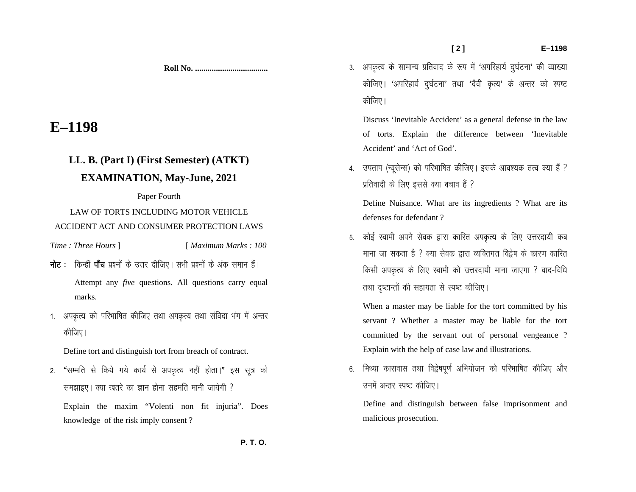$E - 1198$ 

## $E-1198$

# LL. B. (Part I) (First Semester) (ATKT)

### **EXAMINATION, May-June, 2021**

#### Paper Fourth

#### LAW OF TORTS INCLUDING MOTOR VEHICLE ACCIDENT ACT AND CONSUMER PROTECTION LAWS

- Time: Three Hours ] [ Maximum Marks: 100
- **नोट**: किन्हीं **पाँच** प्रश्नों के उत्तर दीजिए। सभी प्रश्नों के अंक समान हैं। Attempt any *five* questions. All questions carry equal marks.
- 1. अपकृत्य को परिभाषित कीजिए तथा अपकृत्य तथा संविदा भंग में अन्तर कीजिए।

Define tort and distinguish tort from breach of contract.

2. "सम्मति से किये गये कार्य से अपकृत्य नहीं होता।" इस सूत्र को समझाइए। क्या खतरे का ज्ञान होना सहमति मानी जायेगी ? Explain the maxim "Volenti non fit injuria". Does knowledge of the risk imply consent?

3. अपकृत्य के सामान्य प्रतिवाद के रूप में 'अपरिहार्य दुर्घटना' की व्याख्या कीजिए। 'अपरिहार्य दुर्घटना' तथा 'दैवी कृत्य' के अन्तर को स्पष्ट कीजिए।

Discuss 'Inevitable Accident' as a general defense in the law of torts. Explain the difference between 'Inevitable Accident' and 'Act of God'.

4. उपताप (न्यसेन्स) को परिभाषित कीजिए। इसके आवश्यक तत्व क्या हैं ? प्रतिवादी के लिए इससे क्या बचाव हैं ?

Define Nuisance. What are its ingredients ? What are its defenses for defendant?

5. कोई स्वामी अपने सेवक द्वारा कारित अपकृत्य के लिए उत्तरदायी कब माना जा सकता है ? क्या सेवक द्वारा व्यक्तिगत विद्वेष के कारण कारित किसी अपकृत्य के लिए स्वामी को उत्तरदायी माना जाएगा ? वाद-विधि तथा दृष्टान्तों की सहायता से स्पष्ट कीजिए।

When a master may be liable for the tort committed by his servant? Whether a master may be liable for the tort committed by the servant out of personal vengeance? Explain with the help of case law and illustrations.

6. मिथ्या कारावास तथा विद्वेषपूर्ण अभियोजन को परिभाषित कीजिए और उनमें अन्तर स्पष्ट कीजिए।

Define and distinguish between false imprisonment and malicious prosecution.